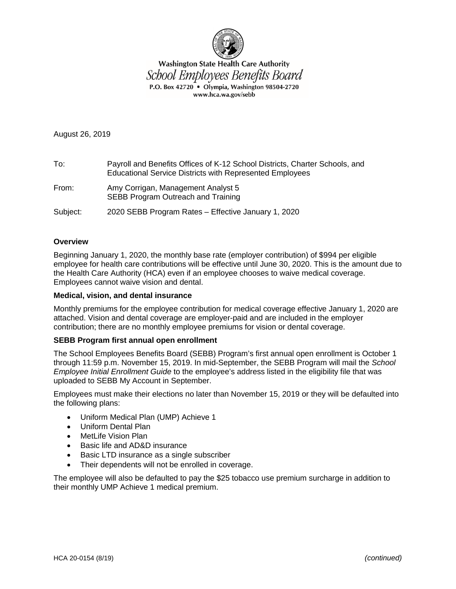

**Washington State Health Care Authority** School Employees Benefits Board P.O. Box 42720 . Olympia, Washington 98504-2720 www.hca.wa.gov/sebb

August 26, 2019

To: Payroll and Benefits Offices of K-12 School Districts, Charter Schools, and Educational Service Districts with Represented Employees From: Amy Corrigan, Management Analyst 5

SEBB Program Outreach and Training

Subject: 2020 SEBB Program Rates – Effective January 1, 2020

# **Overview**

Beginning January 1, 2020, the monthly base rate (employer contribution) of \$994 per eligible employee for health care contributions will be effective until June 30, 2020. This is the amount due to the Health Care Authority (HCA) even if an employee chooses to waive medical coverage. Employees cannot waive vision and dental.

### **Medical, vision, and dental insurance**

Monthly premiums for the employee contribution for medical coverage effective January 1, 2020 are attached. Vision and dental coverage are employer-paid and are included in the employer contribution; there are no monthly employee premiums for vision or dental coverage.

#### **SEBB Program first annual open enrollment**

The School Employees Benefits Board (SEBB) Program's first annual open enrollment is October 1 through 11:59 p.m. November 15, 2019. In mid-September, the SEBB Program will mail the *School Employee Initial Enrollment Guide* to the employee's address listed in the eligibility file that was uploaded to SEBB My Account in September.

Employees must make their elections no later than November 15, 2019 or they will be defaulted into the following plans:

- Uniform Medical Plan (UMP) Achieve 1
- Uniform Dental Plan
- MetLife Vision Plan
- Basic life and AD&D insurance
- Basic LTD insurance as a single subscriber
- Their dependents will not be enrolled in coverage.

The employee will also be defaulted to pay the \$25 tobacco use premium surcharge in addition to their monthly UMP Achieve 1 medical premium.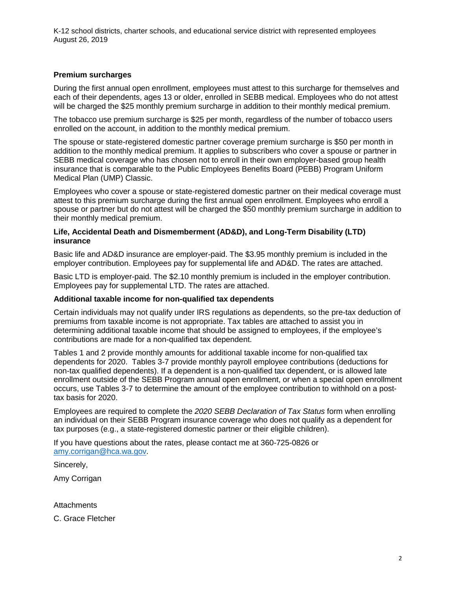K-12 school districts, charter schools, and educational service district with represented employees August 26, 2019

# **Premium surcharges**

During the first annual open enrollment, employees must attest to this surcharge for themselves and each of their dependents, ages 13 or older, enrolled in SEBB medical. Employees who do not attest will be charged the \$25 monthly premium surcharge in addition to their monthly medical premium.

The tobacco use premium surcharge is \$25 per month, regardless of the number of tobacco users enrolled on the account, in addition to the monthly medical premium.

The spouse or state-registered domestic partner coverage premium surcharge is \$50 per month in addition to the monthly medical premium. It applies to subscribers who cover a spouse or partner in SEBB medical coverage who has chosen not to enroll in their own employer-based group health insurance that is comparable to the Public Employees Benefits Board (PEBB) Program Uniform Medical Plan (UMP) Classic.

Employees who cover a spouse or state-registered domestic partner on their medical coverage must attest to this premium surcharge during the first annual open enrollment. Employees who enroll a spouse or partner but do not attest will be charged the \$50 monthly premium surcharge in addition to their monthly medical premium.

# **Life, Accidental Death and Dismemberment (AD&D), and Long-Term Disability (LTD) insurance**

Basic life and AD&D insurance are employer-paid. The \$3.95 monthly premium is included in the employer contribution. Employees pay for supplemental life and AD&D. The rates are attached.

Basic LTD is employer-paid. The \$2.10 monthly premium is included in the employer contribution. Employees pay for supplemental LTD. The rates are attached.

# **Additional taxable income for non-qualified tax dependents**

Certain individuals may not qualify under IRS regulations as dependents, so the pre-tax deduction of premiums from taxable income is not appropriate. Tax tables are attached to assist you in determining additional taxable income that should be assigned to employees, if the employee's contributions are made for a non-qualified tax dependent.

Tables 1 and 2 provide monthly amounts for additional taxable income for non-qualified tax dependents for 2020. Tables 3-7 provide monthly payroll employee contributions (deductions for non-tax qualified dependents). If a dependent is a non-qualified tax dependent, or is allowed late enrollment outside of the SEBB Program annual open enrollment, or when a special open enrollment occurs, use Tables 3-7 to determine the amount of the employee contribution to withhold on a posttax basis for 2020.

Employees are required to complete the *2020 SEBB Declaration of Tax Status* form when enrolling an individual on their SEBB Program insurance coverage who does not qualify as a dependent for tax purposes (e.g., a state-registered domestic partner or their eligible children).

If you have questions about the rates, please contact me at 360-725-0826 or [amy.corrigan@hca.wa.gov.](mailto:amy.corrigan@hca.wa.gov)

Sincerely,

Amy Corrigan

**Attachments** 

C. Grace Fletcher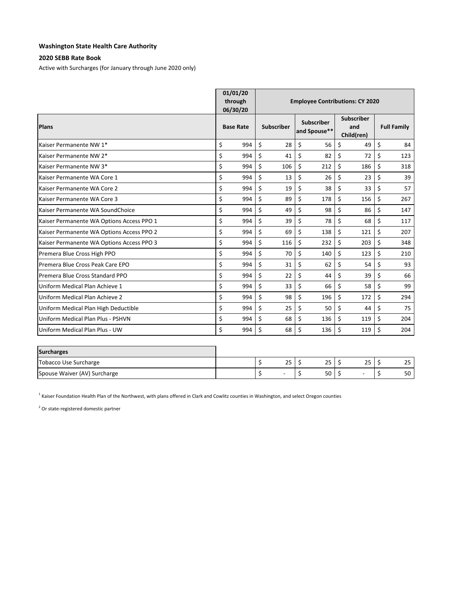## **2020 SEBB Rate Book**

Active with Surcharges (for January through June 2020 only)

|                                           | 01/01/20<br>through<br>06/30/20 | <b>Employee Contributions: CY 2020</b> |                   |         |                                   |                                        |     |    |                    |
|-------------------------------------------|---------------------------------|----------------------------------------|-------------------|---------|-----------------------------------|----------------------------------------|-----|----|--------------------|
| Plans                                     | <b>Base Rate</b>                |                                        | <b>Subscriber</b> |         | <b>Subscriber</b><br>and Spouse** | <b>Subscriber</b><br>and<br>Child(ren) |     |    | <b>Full Family</b> |
| Kaiser Permanente NW 1*                   | \$<br>994                       | \$                                     | 28                | \$      | 56                                | \$                                     | 49  | \$ | 84                 |
| Kaiser Permanente NW 2*                   | \$<br>994                       | \$                                     | 41                | \$      | 82                                | \$                                     | 72  | \$ | 123                |
| Kaiser Permanente NW 3*                   | \$<br>994                       | \$                                     | 106               | \$      | 212                               | \$                                     | 186 | \$ | 318                |
| Kaiser Permanente WA Core 1               | \$<br>994                       | \$                                     | 13                | \$      | 26                                | \$                                     | 23  | \$ | 39                 |
| Kaiser Permanente WA Core 2               | \$<br>994                       | \$                                     | 19                | \$      | 38                                | \$                                     | 33  | \$ | 57                 |
| Kaiser Permanente WA Core 3               | \$<br>994                       | \$                                     | 89                | \$      | 178                               | \$                                     | 156 | \$ | 267                |
| Kaiser Permanente WA SoundChoice          | \$<br>994                       | \$                                     | 49                | \$      | 98                                | \$                                     | 86  | \$ | 147                |
| Kaiser Permanente WA Options Access PPO 1 | \$<br>994                       | \$                                     | 39                | \$      | 78                                | \$                                     | 68  | \$ | 117                |
| Kaiser Permanente WA Options Access PPO 2 | \$<br>994                       | \$                                     | 69                | \$      | 138                               | \$                                     | 121 | \$ | 207                |
| Kaiser Permanente WA Options Access PPO 3 | \$<br>994                       | \$                                     | 116               | \$      | 232                               | \$                                     | 203 | \$ | 348                |
| Premera Blue Cross High PPO               | \$<br>994                       | \$                                     | 70                | \$      | 140                               | \$                                     | 123 | \$ | 210                |
| Premera Blue Cross Peak Care EPO          | \$<br>994                       | \$                                     | 31                | \$      | 62                                | \$                                     | 54  | \$ | 93                 |
| Premera Blue Cross Standard PPO           | \$<br>994                       | \$                                     | 22                | \$      | 44                                | \$                                     | 39  | \$ | 66                 |
| Uniform Medical Plan Achieve 1            | \$<br>994                       | \$                                     | 33                | \$      | 66                                | \$                                     | 58  | \$ | 99                 |
| Uniform Medical Plan Achieve 2            | \$<br>994                       | \$                                     | 98                | \$      | 196                               | \$                                     | 172 | \$ | 294                |
| Uniform Medical Plan High Deductible      | \$<br>994                       | \$                                     | 25                | \$      | 50                                | \$                                     | 44  | \$ | 75                 |
| Uniform Medical Plan Plus - PSHVN         | \$<br>994                       | \$                                     | 68                | \$      | 136                               | \$                                     | 119 | \$ | 204                |
| Uniform Medical Plan Plus - UW            | \$<br>994                       | \$                                     | 68                | \$      | 136                               | \$                                     | 119 | \$ | 204                |
| <b>Surcharges</b>                         |                                 |                                        |                   |         |                                   |                                        |     |    |                    |
| <b>Tobacco Use Surcharge</b>              |                                 | \$                                     | 25                | $\zeta$ | 25                                | \$                                     | 25  | \$ | 25                 |

Spouse Waiver (AV) Surcharge ‐ \$ 50 \$ ‐ \$ 50 \$

<sup>1</sup> Kaiser Foundation Health Plan of the Northwest, with plans offered in Clark and Cowlitz counties in Washington, and select Oregon counties

<sup>2</sup> Or state-registered domestic partner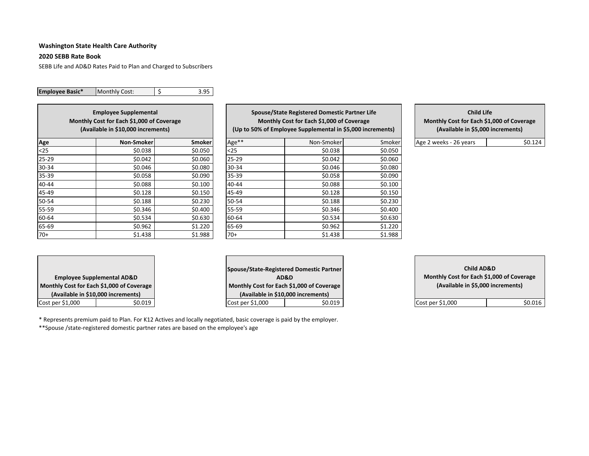#### **2020 SEBB Rate Book**

г

SEBB Life and AD&D Rates Paid to Plan and Charged to Subscribers

| Employee Basic* | Monthly Cost: |  | 3.95 |
|-----------------|---------------|--|------|
|-----------------|---------------|--|------|

| <b>Employee Supplemental</b><br>Monthly Cost for Each \$1,000 of Coverage<br>(Available in \$10,000 increments) |            |               |  |  |  |  |
|-----------------------------------------------------------------------------------------------------------------|------------|---------------|--|--|--|--|
| Age                                                                                                             | Non-Smoker | <b>Smoker</b> |  |  |  |  |
| $25$                                                                                                            | \$0.038    | \$0.050       |  |  |  |  |
| $25 - 29$                                                                                                       | \$0.042    | \$0.060       |  |  |  |  |
| 30-34                                                                                                           | \$0.046    | \$0.080       |  |  |  |  |
| 35-39                                                                                                           | \$0.058    | \$0.090       |  |  |  |  |
| 40-44                                                                                                           | \$0.088    | \$0.100       |  |  |  |  |
| 45-49                                                                                                           | \$0.128    | \$0.150       |  |  |  |  |
| 50-54                                                                                                           | \$0.188    | \$0.230       |  |  |  |  |
| 55-59                                                                                                           | \$0.346    | \$0.400       |  |  |  |  |
| 60-64                                                                                                           | \$0.534    | \$0.630       |  |  |  |  |
| 65-69                                                                                                           | \$0.962    | \$1.220       |  |  |  |  |
| $70+$                                                                                                           | \$1.438    | \$1.988       |  |  |  |  |

|       | <b>Employee Supplemental</b><br>Monthly Cost for Each \$1,000 of Coverage<br>(Available in \$10,000 increments) |               | Spouse/State Registered Domestic Partner Life<br>Monthly Cost for Each \$1,000 of Coverage<br>(Up to 50% of Employee Supplemental in \$5,000 increments) |            |         |                        | Monthly Cost for Each \$1,000 of Coverage<br>(Available in \$5,000 increments) |
|-------|-----------------------------------------------------------------------------------------------------------------|---------------|----------------------------------------------------------------------------------------------------------------------------------------------------------|------------|---------|------------------------|--------------------------------------------------------------------------------|
| Age   | Non-Smoker                                                                                                      | <b>Smoker</b> | Age**                                                                                                                                                    | Non-Smoker | Smoker  | Age 2 weeks - 26 years | \$0.124                                                                        |
| $25$  | \$0.038                                                                                                         | \$0.050       | $25$                                                                                                                                                     | \$0.038    | \$0.050 |                        |                                                                                |
| 25-29 | \$0.042                                                                                                         | \$0.060       | $25 - 29$                                                                                                                                                | \$0.042    | \$0.060 |                        |                                                                                |
| 30-34 | \$0.046                                                                                                         | \$0.080       | 30-34                                                                                                                                                    | \$0.046    | \$0.080 |                        |                                                                                |
| 35-39 | \$0.058                                                                                                         | \$0.090       | 35-39                                                                                                                                                    | \$0.058    | \$0.090 |                        |                                                                                |
| 40-44 | \$0.088                                                                                                         | \$0.100       | 40-44                                                                                                                                                    | \$0.088    | \$0.100 |                        |                                                                                |
| 45-49 | \$0.128                                                                                                         | \$0.150       | 45-49                                                                                                                                                    | \$0.128    | \$0.150 |                        |                                                                                |
| 50-54 | \$0.188                                                                                                         | \$0.230       | 50-54                                                                                                                                                    | \$0.188    | \$0.230 |                        |                                                                                |
| 55-59 | \$0.346                                                                                                         | \$0.400       | 55-59                                                                                                                                                    | \$0.346    | \$0.400 |                        |                                                                                |
| 60-64 | \$0.534                                                                                                         | \$0.630       | 60-64                                                                                                                                                    | \$0.534    | \$0.630 |                        |                                                                                |
| 65-69 | \$0.962                                                                                                         | \$1.220       | 65-69                                                                                                                                                    | \$0.962    | \$1.220 |                        |                                                                                |
| $70+$ | \$1.438                                                                                                         | \$1.988       | $70+$                                                                                                                                                    | \$1.438    | \$1.988 |                        |                                                                                |

 $\overline{\phantom{0}}$ 

| <b>Child Life</b><br>Monthly Cost for Each \$1,000 of Coverage<br>(Available in \$5,000 increments) |         |
|-----------------------------------------------------------------------------------------------------|---------|
| Age 2 weeks - 26 years                                                                              | \$0.124 |

| <b>Employee Supplemental AD&amp;D</b>     |         |  |  |  |  |
|-------------------------------------------|---------|--|--|--|--|
| Monthly Cost for Each \$1,000 of Coverage |         |  |  |  |  |
| (Available in \$10,000 increments)        |         |  |  |  |  |
| Cost per \$1,000                          | \$0.019 |  |  |  |  |

| Spouse/State-Registered Domestic Partner  |         |  |  |  |  |
|-------------------------------------------|---------|--|--|--|--|
| <b>AD&amp;D</b>                           |         |  |  |  |  |
| Monthly Cost for Each \$1,000 of Coverage |         |  |  |  |  |
| (Available in \$10,000 increments)        |         |  |  |  |  |
| Cost per \$1,000                          | \$0.019 |  |  |  |  |

|                                           |         | Spouse/State-Registered Domestic Partner  |         | <b>Child AD&amp;D</b>                     |         |
|-------------------------------------------|---------|-------------------------------------------|---------|-------------------------------------------|---------|
| <b>Employee Supplemental AD&amp;D</b>     |         | AD&D                                      |         | Monthly Cost for Each \$1,000 of Coverage |         |
| Monthly Cost for Each \$1,000 of Coverage |         | Monthly Cost for Each \$1,000 of Coverage |         | (Available in \$5,000 increments)         |         |
| (Available in \$10,000 increments)        |         | (Available in \$10,000 increments)        |         |                                           |         |
| Cost per \$1,000                          | \$0.019 | Cost per $$1,000$                         | \$0.019 | Cost per \$1,000                          | \$0.016 |

\* Represents premium paid to Plan. For K12 Actives and locally negotiated, basic coverage is paid by the employer.

 $\overline{\phantom{a}}$ 

\*\*Spouse /state‐registered domestic partner rates are based on the employee's age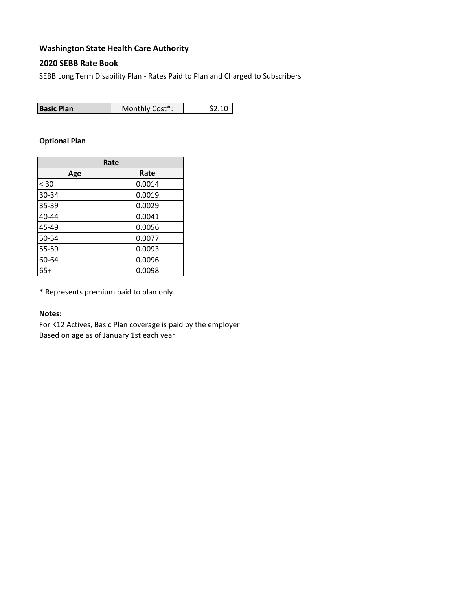# **2020 SEBB Rate Book**

SEBB Long Term Disability Plan ‐ Rates Paid to Plan and Charged to Subscribers

| <b>Basic Plan</b> | Monthly Cost*: | \$2.10 |
|-------------------|----------------|--------|

# **Optional Plan**

| Rate  |        |  |  |  |  |
|-------|--------|--|--|--|--|
| Age   | Rate   |  |  |  |  |
| < 30  | 0.0014 |  |  |  |  |
| 30-34 | 0.0019 |  |  |  |  |
| 35-39 | 0.0029 |  |  |  |  |
| 40-44 | 0.0041 |  |  |  |  |
| 45-49 | 0.0056 |  |  |  |  |
| 50-54 | 0.0077 |  |  |  |  |
| 55-59 | 0.0093 |  |  |  |  |
| 60-64 | 0.0096 |  |  |  |  |
| $65+$ | 0.0098 |  |  |  |  |

\* Represents premium paid to plan only.

# **Notes:**

Based on age as of January 1st each year For K12 Actives, Basic Plan coverage is paid by the employer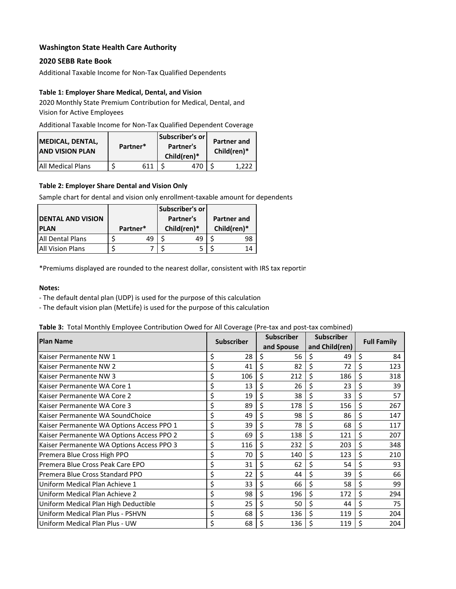# **2020 SEBB Rate Book**

Additional Taxable Income for Non‐Tax Qualified Dependents

#### **Table 1: Employer Share Medical, Dental, and Vision**

2020 Monthly State Premium Contribution for Medical, Dental, and Vision for Active Employees

Additional Taxable Income for Non‐Tax Qualified Dependent Coverage

| IMEDICAL. DENTAL.<br><b>JAND VISION PLAN</b> | Partner* |     | Subscriber's or<br>Partner's<br>Child(ren)* | <b>Partner and</b><br>Child(ren)* |
|----------------------------------------------|----------|-----|---------------------------------------------|-----------------------------------|
| <b>JAII Medical Plans</b>                    |          | 611 | 470                                         |                                   |

## **Table 2: Employer Share Dental and Vision Only**

Sample chart for dental and vision only enrollment-taxable amount for dependents

|                           |          |                | Subscriber's or |             |             |
|---------------------------|----------|----------------|-----------------|-------------|-------------|
| <b>IDENTAL AND VISION</b> |          |                | Partner's       |             | Partner and |
| <b>PLAN</b>               | Partner* | Child(ren) $*$ |                 | Child(ren)* |             |
| <b>JAIL Dental Plans</b>  | 49       |                |                 |             | 98          |
| <b>All Vision Plans</b>   |          |                |                 |             | 14          |

\*Premiums displayed are rounded to the nearest dollar, consistent with IRS tax reportin

#### **Notes:**

‐ The default dental plan (UDP) is used for the purpose of this calculation

‐ The default vision plan (MetLife) is used for the purpose of this calculation

|  | Table 3: Total Monthly Employee Contribution Owed for All Coverage (Pre-tax and post-tax combined) |  |  |  |  |  |  |  |
|--|----------------------------------------------------------------------------------------------------|--|--|--|--|--|--|--|
|--|----------------------------------------------------------------------------------------------------|--|--|--|--|--|--|--|

| <b>Plan Name</b>                          | <b>Subscriber</b> | <b>Subscriber</b><br>and Spouse | <b>Subscriber</b><br>and Child(ren) |    | <b>Full Family</b> |  |
|-------------------------------------------|-------------------|---------------------------------|-------------------------------------|----|--------------------|--|
| <b>I</b> Kaiser Permanente NW 1           | \$<br>28          | \$<br>56                        | \$<br>49                            | \$ | 84                 |  |
| Kaiser Permanente NW 2                    | \$<br>41          | \$<br>82                        | \$<br>72                            | Ś  | 123                |  |
| Kaiser Permanente NW 3                    | \$<br>106         | \$<br>212                       | \$<br>186                           | \$ | 318                |  |
| Kaiser Permanente WA Core 1               | \$<br>13          | \$<br>26                        | \$<br>23                            | \$ | 39                 |  |
| IKaiser Permanente WA Core 2              | \$<br>19          | \$<br>38                        | \$<br>33                            | \$ | 57                 |  |
| IKaiser Permanente WA Core 3              | \$<br>89          | \$<br>178                       | \$<br>156                           | \$ | 267                |  |
| Kaiser Permanente WA SoundChoice          | \$<br>49          | \$<br>98                        | \$<br>86                            | \$ | 147                |  |
| Kaiser Permanente WA Options Access PPO 1 | \$<br>39          | \$<br>78                        | \$<br>68                            | \$ | 117                |  |
| Kaiser Permanente WA Options Access PPO 2 | \$<br>69          | \$<br>138                       | \$<br>121                           | \$ | 207                |  |
| Kaiser Permanente WA Options Access PPO 3 | \$<br>116         | \$<br>232                       | \$<br>203                           | \$ | 348                |  |
| Premera Blue Cross High PPO               | \$<br>70          | \$<br>140                       | \$<br>123                           | Ś. | 210                |  |
| Premera Blue Cross Peak Care EPO          | \$<br>31          | \$<br>62                        | 54                                  | \$ | 93                 |  |
| Premera Blue Cross Standard PPO           | \$<br>22          | \$<br>44                        | \$<br>39                            | Ś  | 66                 |  |
| Uniform Medical Plan Achieve 1            | \$<br>33          | \$<br>66                        | \$<br>58                            | \$ | 99                 |  |
| Uniform Medical Plan Achieve 2            | \$<br>98          | \$<br>196                       | \$<br>172                           | \$ | 294                |  |
| Uniform Medical Plan High Deductible      | \$<br>25          | \$<br>50                        | \$<br>44                            | \$ | 75                 |  |
| Uniform Medical Plan Plus - PSHVN         | \$<br>68          | \$<br>136                       | \$<br>119                           | \$ | 204                |  |
| Uniform Medical Plan Plus - UW            | \$<br>68          | \$<br>136                       | \$<br>119                           | \$ | 204                |  |